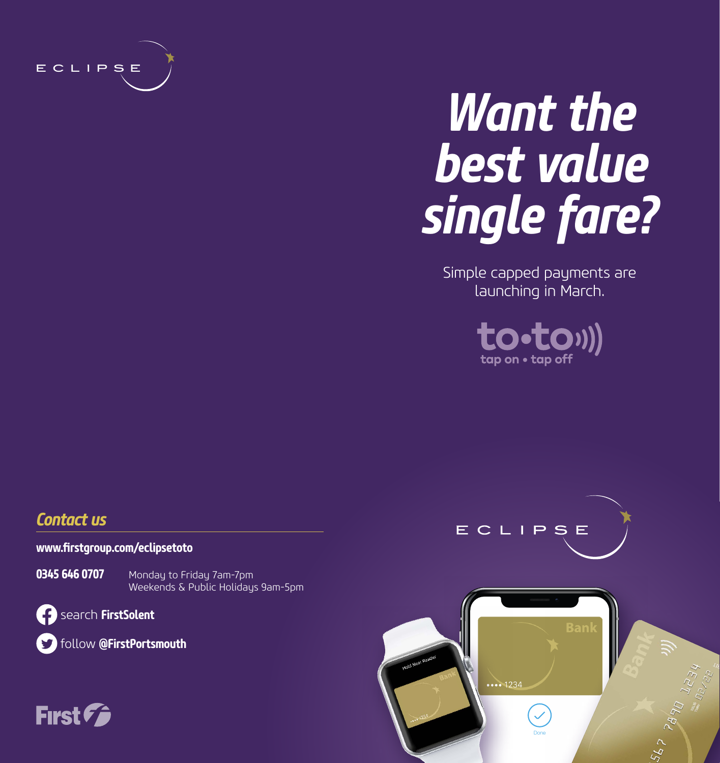

# *Want the best value single fare?*

Simple capped payments are launching in March.



#### *Contact us*

**www.firstgroup.com/eclipsetoto**

**0345 646 0707** Monday to Friday 7am-7pm Weekends & Public Holidays 9am-5pm

search **FirstSolent**

follow **@FirstPortsmouth**